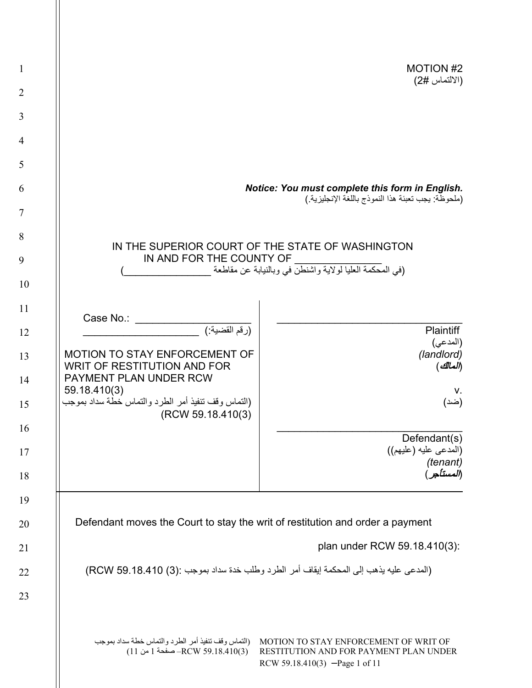| $\mathbf{1}$   |                                                                                         | <b>MOTION #2</b>                                                                                                  |
|----------------|-----------------------------------------------------------------------------------------|-------------------------------------------------------------------------------------------------------------------|
| $\overline{2}$ |                                                                                         | (الالتماس #2)                                                                                                     |
| 3              |                                                                                         |                                                                                                                   |
| $\overline{4}$ |                                                                                         |                                                                                                                   |
| 5              |                                                                                         |                                                                                                                   |
| 6              |                                                                                         | Notice: You must complete this form in English.                                                                   |
| 7              |                                                                                         | (ملحوظة: يجب تعبئة هذا النموذج باللغة الإنجليزية.)                                                                |
| 8              |                                                                                         | IN THE SUPERIOR COURT OF THE STATE OF WASHINGTON                                                                  |
| 9              | IN AND FOR THE COUNTY OF                                                                | (في المُحكمة العليا لولاية واشنطْنَ في وبالنيابة عن مقاطعة                                                        |
| 10             |                                                                                         |                                                                                                                   |
| 11             |                                                                                         |                                                                                                                   |
| 12             | Case No.:<br>(رقم القضية:)                                                              | Plaintiff                                                                                                         |
| 13             | MOTION TO STAY ENFORCEMENT OF                                                           | (المدعى)<br>(landlord)                                                                                            |
| 14             | WRIT OF RESTITUTION AND FOR<br>PAYMENT PLAN UNDER RCW                                   | (المالك)                                                                                                          |
| 15             | 59.18.410(3)<br>(التماس وقف تنفيذ أمر الطرد والتماس خطة سداد بموجب<br>(RCW 59.18.410(3) | V.<br>(ضد)                                                                                                        |
| 16             |                                                                                         | Defendant(s)                                                                                                      |
| 17             |                                                                                         | (المدعى عليه (عليهم))                                                                                             |
| 18             |                                                                                         | (tenant)<br>(المستأجر)                                                                                            |
| 19             |                                                                                         |                                                                                                                   |
| 20             | Defendant moves the Court to stay the writ of restitution and order a payment           |                                                                                                                   |
| 21             |                                                                                         | plan under RCW 59.18.410(3):                                                                                      |
| 22             | (المدعى عليه يذهب إلى المحكمة إيقاف أمر الطرد وطلب خدة سداد بموجب :(3) RCW 59.18.410)   |                                                                                                                   |
| 23             |                                                                                         |                                                                                                                   |
|                |                                                                                         |                                                                                                                   |
|                | (التماس وقف تنفيذ أمر الطرد والتماس خطة سداد بموجب<br>(10(3)RCW 59.18.410 صفحة 1 من 11) | MOTION TO STAY ENFORCEMENT OF WRIT OF<br>RESTITUTION AND FOR PAYMENT PLAN UNDER<br>RCW 59.18.410(3) -Page 1 of 11 |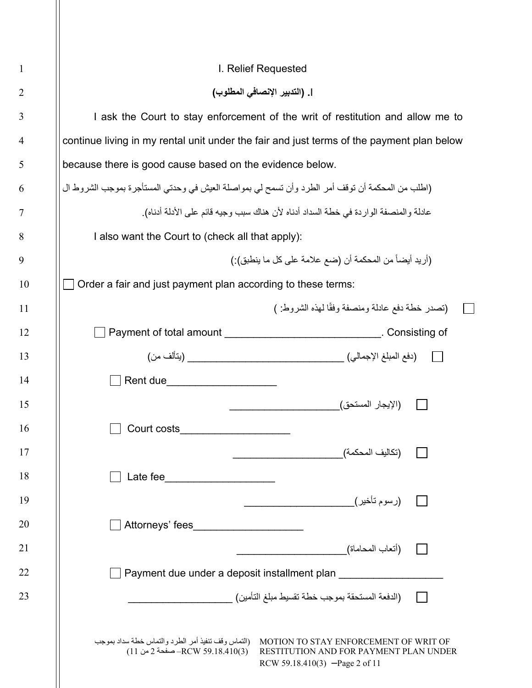| I. Relief Requested                                                                                                                                                                                                           |  |
|-------------------------------------------------------------------------------------------------------------------------------------------------------------------------------------------------------------------------------|--|
| ]. (التدبير الإنصافي المطلوب)                                                                                                                                                                                                 |  |
| I ask the Court to stay enforcement of the writ of restitution and allow me to                                                                                                                                                |  |
| continue living in my rental unit under the fair and just terms of the payment plan below                                                                                                                                     |  |
| because there is good cause based on the evidence below.                                                                                                                                                                      |  |
| (اطلب من المحكمة أن توقف أمر الطرد وأن تسمح لي بمواصلة العيش في وحدتي المستأجرة بموجب الشروط ال                                                                                                                               |  |
| عادلة والمنصفة الواردة في خطة السداد أدناه لأن هناك سبب وجيه قائم على الأدلة أدناه).                                                                                                                                          |  |
| I also want the Court to (check all that apply):                                                                                                                                                                              |  |
| (أريد أيضاً من المحكمة أن (ضع علامة على كل ما ينطبق):)                                                                                                                                                                        |  |
| Order a fair and just payment plan according to these terms:                                                                                                                                                                  |  |
| (تصدر خطة دفع عادلة ومنصفة وفقًا لهذه الشروط: )                                                                                                                                                                               |  |
| Payment of total amount _________________________________. Consisting of                                                                                                                                                      |  |
|                                                                                                                                                                                                                               |  |
|                                                                                                                                                                                                                               |  |
| (الإيجار المستحق)                                                                                                                                                                                                             |  |
| Court costs                                                                                                                                                                                                                   |  |
| (تكاليف المحكمة)                                                                                                                                                                                                              |  |
| Late fee<br><u> 1989 - Johann Barbara, martxa alemani</u> ar a                                                                                                                                                                |  |
|                                                                                                                                                                                                                               |  |
| Attorneys' fees                                                                                                                                                                                                               |  |
| (أتعاب المحاماة)                                                                                                                                                                                                              |  |
| Payment due under a deposit installment plan                                                                                                                                                                                  |  |
| (الدفعة المستحقة بموجب خطة تقسيط مبلغ التأمين)                                                                                                                                                                                |  |
|                                                                                                                                                                                                                               |  |
| (التماس وقف تنفيذ أمر الطرد والتماس خطة سداد بموجب<br>MOTION TO STAY ENFORCEMENT OF WRIT OF<br>$(11 \omega^2)$ حفحة 2 من 11) $-$ RCW 59.18.410<br>RESTITUTION AND FOR PAYMENT PLAN UNDER<br>RCW 59.18.410(3) $-$ Page 2 of 11 |  |
|                                                                                                                                                                                                                               |  |

 $\mathbb{I}$ 

2

3

4

5

6

7

8

9

10

11

12

13

14

15

16

17

18

19

20

21

22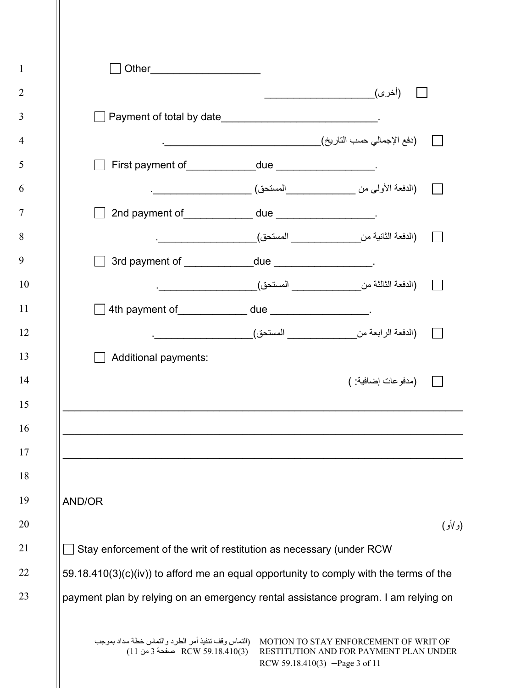|        | ◯ Payment of total by date_______________________________                              |                                                                                   |          |
|--------|----------------------------------------------------------------------------------------|-----------------------------------------------------------------------------------|----------|
|        |                                                                                        |                                                                                   |          |
|        | First payment of_____________due ___________________.                                  |                                                                                   |          |
|        |                                                                                        |                                                                                   |          |
|        |                                                                                        |                                                                                   |          |
|        |                                                                                        |                                                                                   |          |
|        | □ 3rd payment of ______________due ____________________                                |                                                                                   |          |
|        |                                                                                        |                                                                                   |          |
|        | ◯ 4th payment of____________ due ___________________                                   |                                                                                   |          |
|        |                                                                                        | (الدفعة الرابعة من____________________ المستحق)_________________________________. |          |
|        | Additional payments:                                                                   |                                                                                   |          |
|        |                                                                                        | (مدفوعات إضافية: )                                                                |          |
|        |                                                                                        |                                                                                   |          |
|        |                                                                                        |                                                                                   |          |
|        |                                                                                        |                                                                                   |          |
|        |                                                                                        |                                                                                   |          |
| AND/OR |                                                                                        |                                                                                   |          |
|        |                                                                                        |                                                                                   |          |
|        |                                                                                        |                                                                                   | (و /أو ) |
|        | Stay enforcement of the writ of restitution as necessary (under RCW                    |                                                                                   |          |
|        | 59.18.410(3)(c)(iv)) to afford me an equal opportunity to comply with the terms of the |                                                                                   |          |
|        |                                                                                        |                                                                                   |          |

2

3

4

5

6

7

8

9

10

11

12

13

14

15

16

17

18

19

20

21

22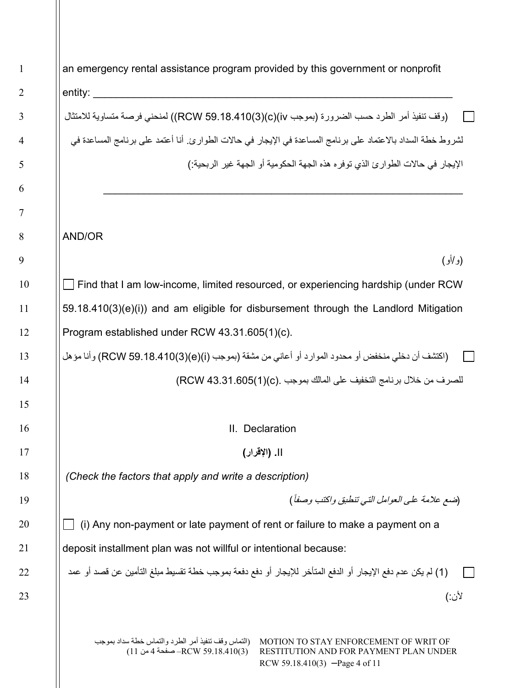an emergency rental assistance program provided by this government or nonprofit entity: (وقف تنفیذ أمر الطرد حسب الضرورة (بموجب iv)(c)(3(59.18.410 RCW ((لمنحني فرصة متساویة للامتثال لشروط خطة السداد بالاعتماد على برنامج المساعدة في الإیجار في حالات الطوارئ. أنا أعتمد على برنامج المساعدة في الإیجار في حالات الطوارئ الذي توفره ھذه الجھة الحكومیة أو الجھة غیر الربحیة:) \_\_\_\_\_\_\_\_\_\_\_\_\_\_\_\_\_\_\_\_\_\_\_\_\_\_\_\_\_\_\_\_\_\_\_\_\_\_\_\_\_\_\_\_\_\_\_\_\_\_\_\_\_\_\_\_\_\_\_\_\_\_ AND/OR (و/أو) Find that I am low-income, limited resourced, or experiencing hardship (under RCW 59.18.410(3)(e)(i)) and am eligible for disbursement through the Landlord Mitigation Program established under RCW 43.31.605(1)(c). (اكتشف أن دخلي منخفض أو محدود الموارد أو أعاني من مشقة (بموجب (i)(e)(3(59.18.410 RCW (وأنا مؤھل للصرف من خلال برنامج التخفیف على المالك بموجب .(c)(1(43.31.605 RCW( II. Declaration II**.) الإقرار)** *(Check the factors that apply and write a description)* (ً (ضع علامة على العوامل التي تنطبق واكتب وصفا  $\Box$  (i) Any non-payment or late payment of rent or failure to make a payment on a deposit installment plan was not willful or intentional because: (1) لم یكن عدم دفع الإیجار أو الدفع المتأخر للإیجار أو دفع دفعة بموجب خطة تقسیط مبلغ التأمین عن قصد أو عمد  $\Box$ لأن:)

> MOTION TO STAY ENFORCEMENT OF WRIT OF (التماس وقف تنفیذ أمر الطرد والتماس خطة سداد بموجب RESTITUTION AND FOR PAYMENT PLAN UNDER RCW 59.18.410(3) –Page 4 of 11 (3)59.18.410 RCW –صفحة 4 من 11)

23

1

2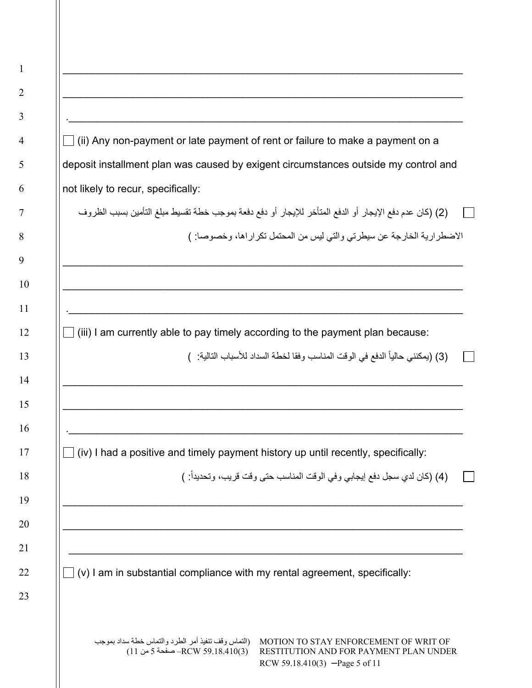| deposit installment plan was caused by exigent circumstances outside my control and<br>not likely to recur, specifically:<br>(2) (كان عدم دفع الإيجار أو الدفع المتأخر للإيجار أو دفع دفعة بموجب خطة تقسيط مبلغ التأمين بسبب الظروف<br>الاضطرارية الخارجة عن سيطرتي والتي ليس من المحتمل تكراراها، وخصوصا: )<br>$\Box$ (iii) I am currently able to pay timely according to the payment plan because:<br>(3) (بمكنني حالياً الدفع في الوقت المناسب وفقا لخطة السداد للأسباب التالية: )<br>$\Box$ (iv) I had a positive and timely payment history up until recently, specifically:<br>(4) (كان لدي سجل دفع إيجابي وفي الوقت المناسب حتى وقت قريب، وتحديداً: ) |  |
|---------------------------------------------------------------------------------------------------------------------------------------------------------------------------------------------------------------------------------------------------------------------------------------------------------------------------------------------------------------------------------------------------------------------------------------------------------------------------------------------------------------------------------------------------------------------------------------------------------------------------------------------------------------|--|
|                                                                                                                                                                                                                                                                                                                                                                                                                                                                                                                                                                                                                                                               |  |
|                                                                                                                                                                                                                                                                                                                                                                                                                                                                                                                                                                                                                                                               |  |
|                                                                                                                                                                                                                                                                                                                                                                                                                                                                                                                                                                                                                                                               |  |
|                                                                                                                                                                                                                                                                                                                                                                                                                                                                                                                                                                                                                                                               |  |
|                                                                                                                                                                                                                                                                                                                                                                                                                                                                                                                                                                                                                                                               |  |
|                                                                                                                                                                                                                                                                                                                                                                                                                                                                                                                                                                                                                                                               |  |
|                                                                                                                                                                                                                                                                                                                                                                                                                                                                                                                                                                                                                                                               |  |
|                                                                                                                                                                                                                                                                                                                                                                                                                                                                                                                                                                                                                                                               |  |
|                                                                                                                                                                                                                                                                                                                                                                                                                                                                                                                                                                                                                                                               |  |
|                                                                                                                                                                                                                                                                                                                                                                                                                                                                                                                                                                                                                                                               |  |
|                                                                                                                                                                                                                                                                                                                                                                                                                                                                                                                                                                                                                                                               |  |
| $\Box$ (v) I am in substantial compliance with my rental agreement, specifically:                                                                                                                                                                                                                                                                                                                                                                                                                                                                                                                                                                             |  |

 $\parallel$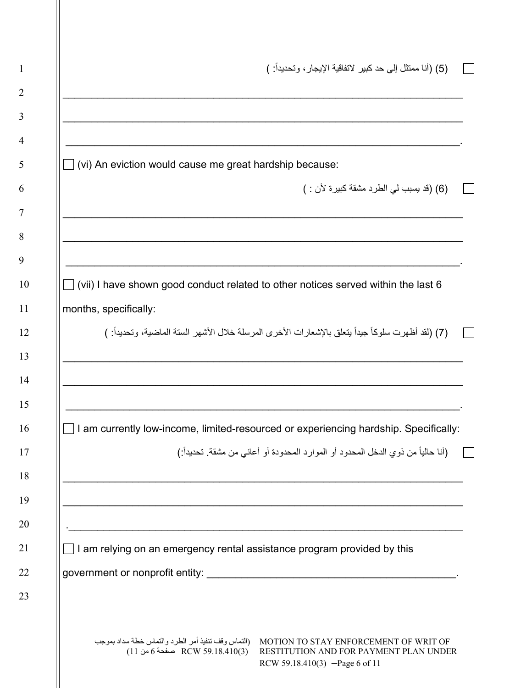|                                                                | (5) (أنا ممتثل إلى حد كبير  لاتفاقية الإيجار ، وتحديداً:  )                                                                         |
|----------------------------------------------------------------|-------------------------------------------------------------------------------------------------------------------------------------|
|                                                                |                                                                                                                                     |
| $\Box$ (vi) An eviction would cause me great hardship because: |                                                                                                                                     |
|                                                                | (6) (قد يسبب لي الطرد مشقة كبيرة لأن : )                                                                                            |
|                                                                |                                                                                                                                     |
|                                                                | $\Box$ (vii) I have shown good conduct related to other notices served within the last 6                                            |
| months, specifically:                                          |                                                                                                                                     |
|                                                                | (7) (لقد أظهرت سلوكاً جيداً يتعلَّق بالإشعارات الأخرى المرسلة خلال الأشهر الستة الماضية، وتحديداً: )                                |
|                                                                |                                                                                                                                     |
|                                                                | $\Box$ I am currently low-income, limited-resourced or experiencing hardship. Specifically:                                         |
|                                                                |                                                                                                                                     |
|                                                                | (أنا حالياً من ذوي الدخل المحدود أو الموارد المحدودة أو أعاني من مشقة. تحديداً:)                                                    |
|                                                                | .                                                                                                                                   |
|                                                                | <u> 1989 - Johann Barbara, martxa alemaniar a</u><br>$\Box$ I am relying on an emergency rental assistance program provided by this |
|                                                                |                                                                                                                                     |
|                                                                | MOTION TO STAY ENFORCEMENT OF WRIT OF      (التماس وقف تنفيذ أمر الطرد والتماس خطة سداد بموجب                                       |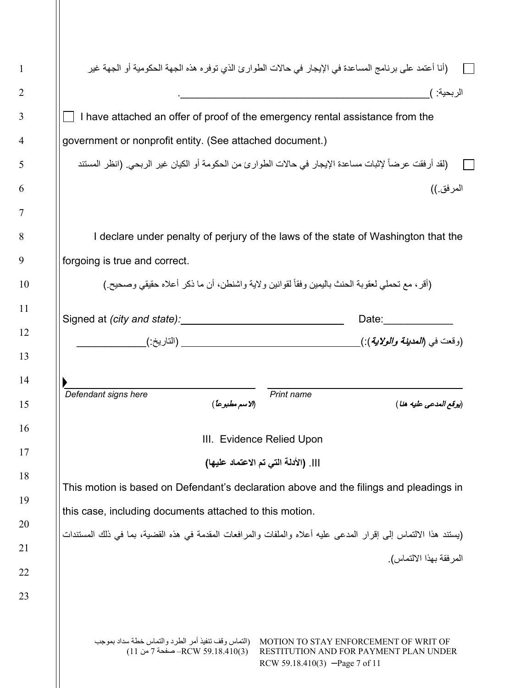| (أنا أعتمد على برنامج المساعدة في الإيجار في حالات الطوارئ الذي توفره هذه الجهة الحكومية أو الجهة غير           |                                      |                                                                                                                                                                                                                                |
|-----------------------------------------------------------------------------------------------------------------|--------------------------------------|--------------------------------------------------------------------------------------------------------------------------------------------------------------------------------------------------------------------------------|
|                                                                                                                 |                                      | الربحية: )                                                                                                                                                                                                                     |
| I have attached an offer of proof of the emergency rental assistance from the                                   |                                      |                                                                                                                                                                                                                                |
| government or nonprofit entity. (See attached document.)                                                        |                                      |                                                                                                                                                                                                                                |
| (لقد أرفقت عرضاً لإثبات مساعدة الإيجار في حالات الطوارئ من الحكومة أو الكيان غير الربحي. (انظر المستند          |                                      |                                                                                                                                                                                                                                |
|                                                                                                                 |                                      | المرفق ))                                                                                                                                                                                                                      |
| I declare under penalty of perjury of the laws of the state of Washington that the                              |                                      |                                                                                                                                                                                                                                |
| forgoing is true and correct.                                                                                   |                                      |                                                                                                                                                                                                                                |
| (أقر، مع تحملي لعقوبة الحنث باليمين وفقاً لقوانين ولاية واشنطن، أن ما ذكر أعلاه حقيقي وصحيح )                   |                                      |                                                                                                                                                                                                                                |
|                                                                                                                 |                                      |                                                                                                                                                                                                                                |
| Signed at (city and state): Manual Community of Signed at (city and state):                                     |                                      | Date: the contract of the contract of the contract of the contract of the contract of the contract of the contract of the contract of the contract of the contract of the contract of the contract of the contract of the cont |
|                                                                                                                 |                                      |                                                                                                                                                                                                                                |
| Defendant signs here<br>(الاسم مطبوعاً)                                                                         | Print name                           | (يوقع المدعى عليه هنا )                                                                                                                                                                                                        |
|                                                                                                                 | III. Evidence Relied Upon            |                                                                                                                                                                                                                                |
|                                                                                                                 | ]]]. (الأدلة التي تم الاعتماد عليها) |                                                                                                                                                                                                                                |
| This motion is based on Defendant's declaration above and the filings and pleadings in                          |                                      |                                                                                                                                                                                                                                |
| this case, including documents attached to this motion.                                                         |                                      |                                                                                                                                                                                                                                |
|                                                                                                                 |                                      |                                                                                                                                                                                                                                |
| (يستند هذا الالتماس إلى إقرار المدعى عليه أعلاه والملفات والمرافعات المقدمة فى هذه القضية، بما فى ذلك المستندات |                                      |                                                                                                                                                                                                                                |
|                                                                                                                 |                                      | المرفقة بهذا الالتماس).                                                                                                                                                                                                        |
|                                                                                                                 |                                      |                                                                                                                                                                                                                                |

2

3

4

5

6

7

8

9

10

11

12

13

14

15

16

17

18

19

20

21

22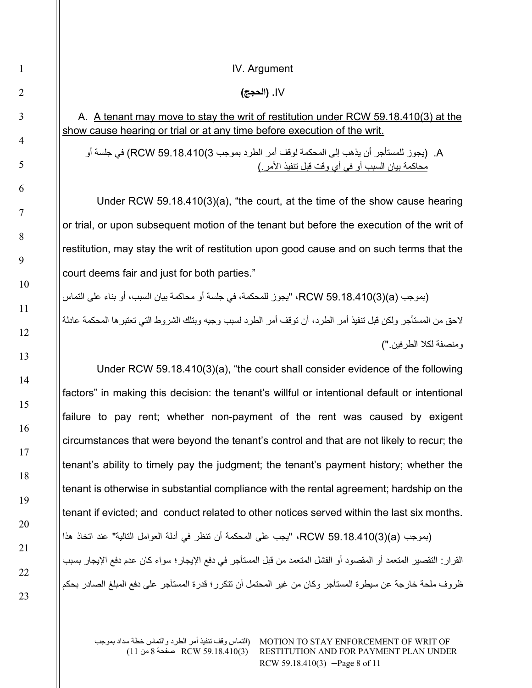## IV. Argument

## IV**.) الحجج)**

## A. A tenant may move to stay the writ of restitution under RCW 59.18.410(3) at the show cause hearing or trial or at any time before execution of the writ.

## A.) یجوز للمستأجر أن یذھب إلى المحكمة لوقف أمر الطرد بموجب 3)59.18.410 RCW (في جلسة أو محاكمة بیان السبب أو في أي وقت قبل تنفیذ الأمر.)

Under RCW 59.18.410(3)(a), "the court, at the time of the show cause hearing or trial, or upon subsequent motion of the tenant but before the execution of the writ of restitution, may stay the writ of restitution upon good cause and on such terms that the court deems fair and just for both parties."

(بموجب (a)(3(59.18.410 RCW،" یجوز للمحكمة، في جلسة أو محاكمة بیان السبب، أو بناء على التماس لاحق من المستأجر ولكن قبل تنفیذ أمر الطرد، أن توقف أمر الطرد لسبب وجیھ وبتلك الشروط التي تعتبرھا المحكمة عادلة ومنصفة لكلا الطرفین.")

Under RCW 59.18.410(3)(a), "the court shall consider evidence of the following factors" in making this decision: the tenant's willful or intentional default or intentional failure to pay rent; whether non-payment of the rent was caused by exigent circumstances that were beyond the tenant's control and that are not likely to recur; the tenant's ability to timely pay the judgment; the tenant's payment history; whether the tenant is otherwise in substantial compliance with the rental agreement; hardship on the tenant if evicted; and conduct related to other notices served within the last six months. (بموجب (a)(3(59.18.410 RCW،" یجب على المحكمة أن تنظر في أدلة العوامل التالیة" عند اتخاذ ھذا القرار: التقصیر المتعمد أو المقصود أو الفشل المتعمد من قبل المستأجر في دفع الإیجار؛ سواء كان عدم دفع الإیجار بسبب ظروف ملحة خارجة عن سیطرة المستأجر وكان من غیر المحتمل أن تتكرر؛ قدرة المستأجر على دفع المبلغ الصادر بحكم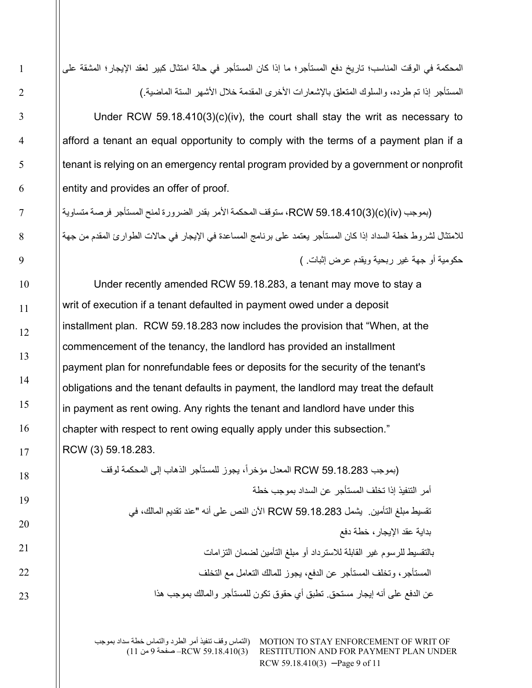المحكمة في الوقت المناسب؛ تاریخ دفع المستأجر؛ ما إذا كان المستأجر في حالة امتثال كبیر لعقد الإیجار؛ المشقة على المستأجر إذا تم طرده، والسلوك المتعلق بالإشعارات الأخرى المقدمة خلال الأشھر الستة الماضیة.)

Under RCW 59.18.410(3)(c)(iv), the court shall stay the writ as necessary to afford a tenant an equal opportunity to comply with the terms of a payment plan if a tenant is relying on an emergency rental program provided by a government or nonprofit entity and provides an offer of proof.

(بموجب (iv)(c)(3(59.18.410 RCW، ستوقف المحكمة الأمر بقدر الضرورة لمنح المستأجر فرصة متساویة للامتثال لشروط خطة السداد إذا كان المستأجر یعتمد على برنامج المساعدة في الإیجار في حالات الطوارئ المقدم من جھة حكومیة أو جھة غیر ربحیة ویقدم عرض إثبات. )

Under recently amended RCW 59.18.283, a tenant may move to stay a writ of execution if a tenant defaulted in payment owed under a deposit installment plan. RCW 59.18.283 now includes the provision that "When, at the commencement of the tenancy, the landlord has provided an installment payment plan for nonrefundable fees or deposits for the security of the tenant's obligations and the tenant defaults in payment, the landlord may treat the default in payment as rent owing. Any rights the tenant and landlord have under this chapter with respect to rent owing equally apply under this subsection." RCW (3) 59.18.283.

> (بموجب RCW 59.18.283 المعدل مؤخراً، يجوز للمستأجر الذهاب إلى المحكمة لوقف أمر التنفیذ إذا تخلف المستأجر عن السداد بموجب خطة تقسیط مبلغ التأمین. یشمل 59.18.283 RCW الآن النص على أنھ "عند تقدیم المالك، في بدایة عقد الإیجار، خطة دفع بالتقسیط للرسوم غیر القابلة للاسترداد أو مبلغ التأمین لضمان التزامات المستأجر، وتخلف المستأجر عن الدفع، یجوز للمالك التعامل مع التخلف عن الدفع على أنھ إیجار مستحق. تطبق أي حقوق تكون للمستأجر والمالك بموجب ھذا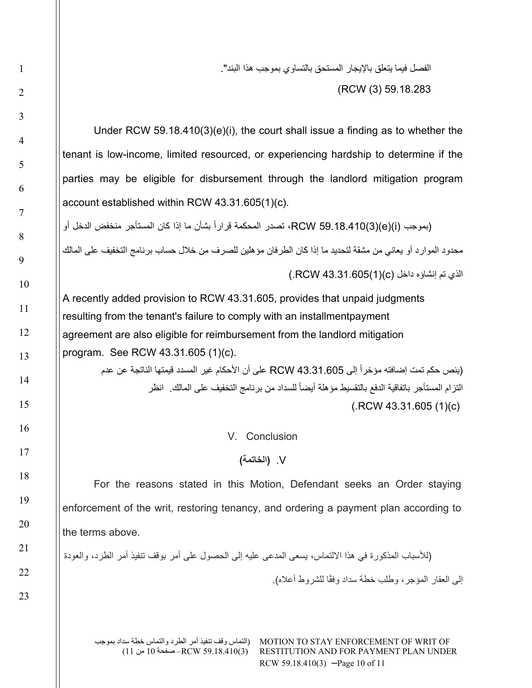الفصل فیما یتعلق بالإیجار المستحق بالتساوي بموجب ھذا البند". (RCW (3) 59.18.283

Under RCW 59.18.410(3)(e)(i), the court shall issue a finding as to whether the tenant is low-income, limited resourced, or experiencing hardship to determine if the parties may be eligible for disbursement through the landlord mitigation program account established within RCW 43.31.605(1)(c).

(بموجب RCW 59.18.410(3)(e)(i)، تصدر المحكمة قراراً بشأن ما إذا كان المستأجر منخفض الدخل أو محدود الموارد أو یعاني من مشقة لتحدید ما إذا كان الطرفان مؤھلین للصرف من خلال حساب برنامج التخفیف على المالك الذي تم إنشاؤه داخل (c)(1(43.31.605 RCW.(

A recently added provision to RCW 43.31.605, provides that unpaid judgments resulting from the tenant's failure to comply with an installmentpayment agreement are also eligible for reimbursement from the landlord mitigation program. See RCW 43.31.605 (1)(c).

> (ينص حكم تمت إضافته مؤخراً إلى RCW 43.31.605 على أن الأحكام غير المسدد قيمتها الناتجة عن عدم التزام المستأجر باتفاقية الدفع بالتقسيط مؤهلة أيضاً للسداد من برنامج التخفيف على المالك. انظر (.RCW 43.31.605 (1)(c)

> > V. Conclusion

V.**) الخاتمة)**

For the reasons stated in this Motion, Defendant seeks an Order staying enforcement of the writ, restoring tenancy, and ordering a payment plan according to the terms above.

(للأسباب المذكورة في ھذا الالتماس، یسعى المدعى علیھ إلى الحصول على أمر بوقف تنفیذ أمر الطرد، والعودة إلى العقار المؤجر، وطلب خطة سداد وفقًا للشروط أعلاه)<sub>.</sub>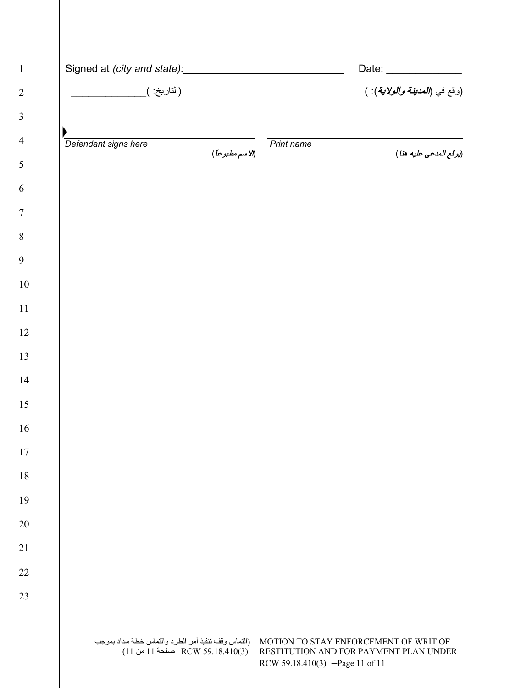|                      |                                                                                          |                 |                                 | Date: _______________                                                           |
|----------------------|------------------------------------------------------------------------------------------|-----------------|---------------------------------|---------------------------------------------------------------------------------|
|                      |                                                                                          |                 |                                 |                                                                                 |
|                      |                                                                                          |                 |                                 |                                                                                 |
| Defendant signs here |                                                                                          | (الاسم مطبوعاً) | Print name                      | (يوقع المدعى عليه هنا)                                                          |
|                      |                                                                                          |                 |                                 |                                                                                 |
|                      |                                                                                          |                 |                                 |                                                                                 |
|                      |                                                                                          |                 |                                 |                                                                                 |
|                      |                                                                                          |                 |                                 |                                                                                 |
|                      |                                                                                          |                 |                                 |                                                                                 |
|                      |                                                                                          |                 |                                 |                                                                                 |
|                      |                                                                                          |                 |                                 |                                                                                 |
|                      |                                                                                          |                 |                                 |                                                                                 |
|                      |                                                                                          |                 |                                 |                                                                                 |
|                      |                                                                                          |                 |                                 |                                                                                 |
|                      |                                                                                          |                 |                                 |                                                                                 |
|                      |                                                                                          |                 |                                 |                                                                                 |
|                      |                                                                                          |                 |                                 |                                                                                 |
|                      |                                                                                          |                 |                                 |                                                                                 |
|                      |                                                                                          |                 |                                 |                                                                                 |
|                      |                                                                                          |                 |                                 |                                                                                 |
|                      |                                                                                          |                 |                                 |                                                                                 |
|                      |                                                                                          |                 |                                 |                                                                                 |
|                      |                                                                                          |                 |                                 |                                                                                 |
|                      | (التماس وقف تنفيذ أمر الطرد والتماس خطة سداد بموجب)<br>RCW 59.18.410(3) – صفحة 11 من 11) |                 | RCW 59.18.410(3) -Page 11 of 11 | MOTION TO STAY ENFORCEMENT OF WRIT OF<br>RESTITUTION AND FOR PAYMENT PLAN UNDER |

 $\mathbb{I}$ 

 $\blacksquare$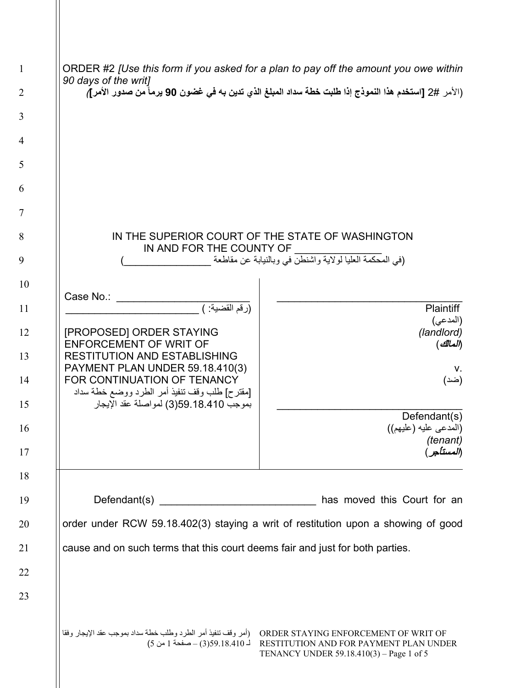| $\mathbf{1}$   | ORDER #2 [Use this form if you asked for a plan to pay off the amount you owe within<br>90 days of the writ]    |                                                                                    |  |  |
|----------------|-----------------------------------------------------------------------------------------------------------------|------------------------------------------------------------------------------------|--|--|
| $\overline{2}$ | (الأمر #2 [استخدم هذا النموذج إذا طلبت خطة سداد المبلغ الذي تدين به في غضون 90 يرماً من صدور الأمر]،            |                                                                                    |  |  |
| 3              |                                                                                                                 |                                                                                    |  |  |
| $\overline{4}$ |                                                                                                                 |                                                                                    |  |  |
| 5              |                                                                                                                 |                                                                                    |  |  |
| 6              |                                                                                                                 |                                                                                    |  |  |
| 7              |                                                                                                                 |                                                                                    |  |  |
| 8              | IN AND FOR THE COUNTY OF                                                                                        | IN THE SUPERIOR COURT OF THE STATE OF WASHINGTON                                   |  |  |
| 9              |                                                                                                                 | (في المحكمة العليا لولاية واشنطن في وبالنيابة عن مقاطعة                            |  |  |
| 10             | Case No.:                                                                                                       |                                                                                    |  |  |
| 11             | (رقم القضية: )                                                                                                  | <b>Plaintiff</b>                                                                   |  |  |
| 12             | [PROPOSED] ORDER STAYING<br><b>ENFORCEMENT OF WRIT OF</b>                                                       | (المدعى)<br>(landlord)<br>(المالك)                                                 |  |  |
| 13             | <b>RESTITUTION AND ESTABLISHING</b>                                                                             |                                                                                    |  |  |
| 14             | PAYMENT PLAN UNDER 59.18.410(3)<br>FOR CONTINUATION OF TENANCY<br>[مقترح] طلب وقف تنفيذ أمر الطرد ووضع خطة سداد | v.<br>(ضد)                                                                         |  |  |
| 15             | بموجب 18.410.59(3) لمواصلة عقد الإيجار                                                                          |                                                                                    |  |  |
| 16             |                                                                                                                 | Defendant(s)<br>(المدعى عليه (عليهم))<br>(tenant)                                  |  |  |
| 17             |                                                                                                                 |                                                                                    |  |  |
| 18             |                                                                                                                 |                                                                                    |  |  |
| 19             | has moved this Court for an                                                                                     |                                                                                    |  |  |
| 20             | order under RCW 59.18.402(3) staying a writ of restitution upon a showing of good                               |                                                                                    |  |  |
| 21             | cause and on such terms that this court deems fair and just for both parties.                                   |                                                                                    |  |  |
| 22             |                                                                                                                 |                                                                                    |  |  |
| 23             |                                                                                                                 |                                                                                    |  |  |
|                |                                                                                                                 | RESTITUTION AND FOR PAYMENT PLAN UNDER<br>TENANCY UNDER 59.18.410(3) – Page 1 of 5 |  |  |

3

4

6

7

 $\parallel$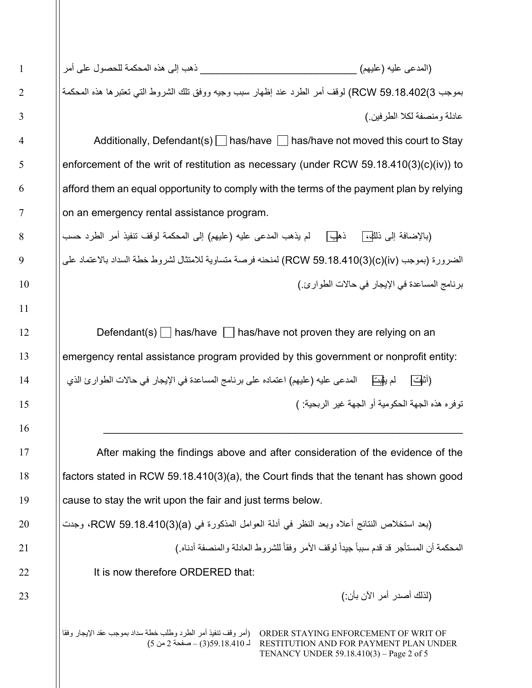| ذهب إلى هذه المحكمة للحصول على أمر    | (المدعى عليه (عليهم)                                                                              |
|---------------------------------------|---------------------------------------------------------------------------------------------------|
|                                       | بموجب RCW 59.18.402(3) لوقف أمر الطرد عند إظهار سبب وجيه ووفق تلك الشروط التي تعتبرها هذه المحكمة |
|                                       | عادلة و منصفة لكلا الطر فين )                                                                     |
| Additionally, Defendant(s)   has/have | ∣ has/have not moved this court to Stay                                                           |

enforcement of the writ of restitution as necessary (under RCW 59.18.410(3)(c)(iv)) to afford them an equal opportunity to comply with the terms of the payment plan by relying on an emergency rental assistance program.

(بالإضافة إلى ذلله،] ذهل لم يذهب المدعى عليه (عليهم) إلى المحكمة لوقف تنفيذ أمر الطرد حسب الضرورة (بموجب (iv)(c)(3(59.18.410 RCW (لمنحنھ فرصة متساویة للامتثال لشروط خطة السداد بالاعتماد على برنامج المساعدة في الإیجار في حالات الطوارئ.)

Defendant(s)  $\Box$  has/have  $\Box$  has/have not proven they are relying on an emergency rental assistance program provided by this government or nonprofit entity: (أثبت لم یثبت المدعى علیھ (علیھم) اعتماده على برنامج المساعدة في الإیجار في حالات الطوارئ الذي

توفره ھذه الجھة الحكومیة أو الجھة غیر الربحیة: )

After making the findings above and after consideration of the evidence of the factors stated in RCW 59.18.410(3)(a), the Court finds that the tenant has shown good cause to stay the writ upon the fair and just terms below.

\_\_\_\_\_\_\_\_\_\_\_\_\_\_\_\_\_\_\_\_\_\_\_\_\_\_\_\_\_\_\_\_\_\_\_\_\_\_\_\_\_\_\_\_\_\_\_\_\_\_\_\_\_\_\_\_\_\_\_\_\_\_

(بعد استخلاص النتائج أعلاه وبعد النظر في أدلة العوامل المذكورة في (a)(3(59.18.410 RCW، وجدت

المحكمة أن المستأجر قد قدم سبباً جيداً لوقف الأمر وفقاً للشروط العادلة والمنصفة أدناه )

It is now therefore ORDERED that:

(لذلك أصدر أمر الآن بأن:)

(أمر وقف تنفیذ أمر الطرد وطلب خطة سداد بموجب عقد الإیجار وفقا لـ 59.18.410(3) – صفحة 2 من 5)

ORDER STAYING ENFORCEMENT OF WRIT OF RESTITUTION AND FOR PAYMENT PLAN UNDER TENANCY UNDER 59.18.410(3) – Page 2 of 5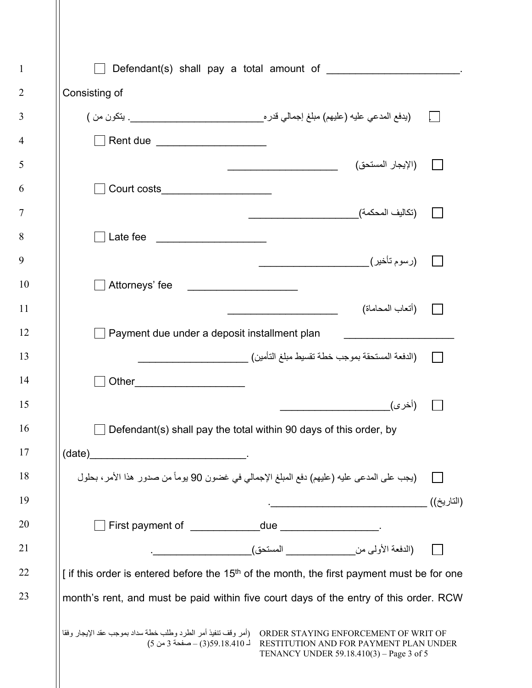| $\mathbf{1}$   | Defendant(s) shall pay a total amount of <b>with the contract of the contract of the contract of the contract of the contract of the contract of the contract of the contract of the contract of the contract of the contract of</b> |            |
|----------------|--------------------------------------------------------------------------------------------------------------------------------------------------------------------------------------------------------------------------------------|------------|
| $\overline{2}$ | Consisting of                                                                                                                                                                                                                        |            |
| 3              |                                                                                                                                                                                                                                      |            |
| $\overline{4}$ | Rent due _____________________                                                                                                                                                                                                       |            |
| 5              | (الإيجار المستحق)                                                                                                                                                                                                                    |            |
| 6              | Court costs______________________                                                                                                                                                                                                    |            |
| $\overline{7}$ |                                                                                                                                                                                                                                      |            |
| 8              | ] Late fee _____________________                                                                                                                                                                                                     |            |
| 9              |                                                                                                                                                                                                                                      |            |
| 10             | Attorneys' fee                                                                                                                                                                                                                       |            |
| <sup>11</sup>  | (أتعاب المحاماة)                                                                                                                                                                                                                     |            |
| 12             | Payment due under a deposit installment plan                                                                                                                                                                                         |            |
| 13             | (الدفعة المستحقة بموجب خطة تقسيط مبلغ التأمين) __________________________________                                                                                                                                                    |            |
| 14             |                                                                                                                                                                                                                                      |            |
| 15             |                                                                                                                                                                                                                                      |            |
| 16             | Defendant(s) shall pay the total within 90 days of this order, by                                                                                                                                                                    |            |
| 17             |                                                                                                                                                                                                                                      |            |
| 18             | (يجب على المدعى عليه (عليهم) دفع المبلغ الإجمالي في غضون 90 يوماً من صدور هذا الأمر، بحلول                                                                                                                                           |            |
| 19             |                                                                                                                                                                                                                                      | (التاريخ)) |
| 20             |                                                                                                                                                                                                                                      |            |
| 21             |                                                                                                                                                                                                                                      |            |
| 22             | [if this order is entered before the 15 <sup>th</sup> of the month, the first payment must be for one                                                                                                                                |            |
| 23             | month's rent, and must be paid within five court days of the entry of this order. RCW                                                                                                                                                |            |
|                | RESTITUTION AND FOR PAYMENT PLAN UNDER<br>TENANCY UNDER 59.18.410(3) – Page 3 of 5                                                                                                                                                   |            |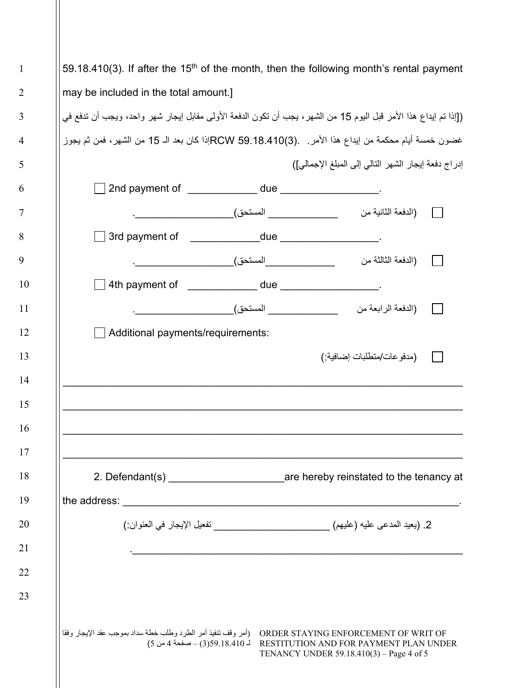59.18.410(3). If after the 15<sup>th</sup> of the month, then the following month's rental payment may be included in the total amount.]

1

2

3

4

5

6

7

8

9

10

11

12

13

14

15

16

17

18

19

20

21

22

23

([إذا تم إیداع ھذا الأمر قبل الیوم 15 من الشھر، یجب أن تكون الدفعة الأولى مقابل إیجار شھر واحد، ویجب أن تدفع في غضون خمسة أیام محكمة من إیداع ھذا الأمر. .(3)59.18.410 RCWإذا كان بعد الـ 15 من الشھر، فمن ثم یجوز إدراج دفعة إیجار الشھر التالي إلى المبلغ الإجمالي])

| Additional payments/requirements:                                                                      |                                                                                                                     |                                                                                                                            |  |
|--------------------------------------------------------------------------------------------------------|---------------------------------------------------------------------------------------------------------------------|----------------------------------------------------------------------------------------------------------------------------|--|
|                                                                                                        |                                                                                                                     | (مدفو عات/منطلبات إضـافية·)                                                                                                |  |
|                                                                                                        |                                                                                                                     |                                                                                                                            |  |
|                                                                                                        | <u> 1990 - 1990 - 1990 - 1990 - 1990 - 1990 - 1990 - 1990 - 1990 - 1990 - 1990 - 1990 - 1990 - 1990 - 1990 - 19</u> |                                                                                                                            |  |
|                                                                                                        |                                                                                                                     |                                                                                                                            |  |
|                                                                                                        |                                                                                                                     |                                                                                                                            |  |
| 2. Defendant(s) _____________________________are hereby reinstated to the tenancy at                   |                                                                                                                     |                                                                                                                            |  |
|                                                                                                        |                                                                                                                     |                                                                                                                            |  |
|                                                                                                        | 2. (يعيد المدعى عليه (عليهم) _________________________ تفعيل الإيجار في العنوان:)                                   |                                                                                                                            |  |
|                                                                                                        |                                                                                                                     |                                                                                                                            |  |
|                                                                                                        |                                                                                                                     |                                                                                                                            |  |
|                                                                                                        |                                                                                                                     |                                                                                                                            |  |
|                                                                                                        |                                                                                                                     |                                                                                                                            |  |
| (أمر وقف تنفيذ أمر الطرد وطلب خطة سداد بموجب عقد الإيجار وفقا<br>$(5 \omega 4)$ 18.410 (3) – صفحة 4 من |                                                                                                                     | ORDER STAYING ENFORCEMENT OF WRIT OF<br>RESTITUTION AND FOR PAYMENT PLAN UNDER<br>TENANCY UNDER 59.18.410(3) – Page 4 of 5 |  |
|                                                                                                        |                                                                                                                     |                                                                                                                            |  |
|                                                                                                        |                                                                                                                     |                                                                                                                            |  |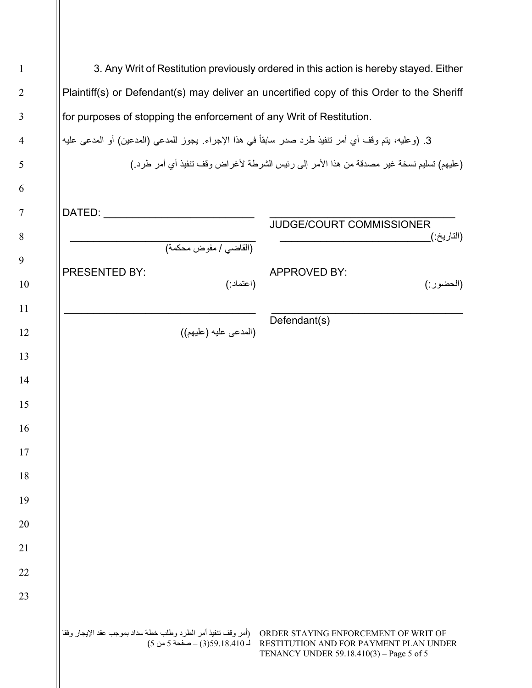|                                                                                                           | 3. Any Writ of Restitution previously ordered in this action is hereby stayed. Either                                      |
|-----------------------------------------------------------------------------------------------------------|----------------------------------------------------------------------------------------------------------------------------|
|                                                                                                           | Plaintiff(s) or Defendant(s) may deliver an uncertified copy of this Order to the Sheriff                                  |
| for purposes of stopping the enforcement of any Writ of Restitution.                                      |                                                                                                                            |
| 3. (وعليه، يتم وقف أي أمر نتفيذ طرد صدر سابقاً في هذا الإجراء. يجوز للمدعي (المدعين) أو المدعى عليه       |                                                                                                                            |
|                                                                                                           | (عليهم) تسليم نسخة غير مصدقة من هذا الأمر إلى رئيس الشرطة لأغراض وقف تنفيذ أي أمر طرد )                                    |
|                                                                                                           |                                                                                                                            |
| DATED:                                                                                                    |                                                                                                                            |
|                                                                                                           | JUDGE/COURT COMMISSIONER<br>(التاريخ:)                                                                                     |
| (القاضي / مفوض محكمة)                                                                                     |                                                                                                                            |
| PRESENTED BY:<br>(اعتماد:)                                                                                | <b>APPROVED BY:</b><br>(الحضور :)                                                                                          |
|                                                                                                           |                                                                                                                            |
| (المدعى عليه (عليهم))                                                                                     | Defendant(s)                                                                                                               |
|                                                                                                           |                                                                                                                            |
|                                                                                                           |                                                                                                                            |
|                                                                                                           |                                                                                                                            |
|                                                                                                           |                                                                                                                            |
|                                                                                                           |                                                                                                                            |
|                                                                                                           |                                                                                                                            |
|                                                                                                           |                                                                                                                            |
|                                                                                                           |                                                                                                                            |
|                                                                                                           |                                                                                                                            |
|                                                                                                           |                                                                                                                            |
|                                                                                                           |                                                                                                                            |
|                                                                                                           |                                                                                                                            |
|                                                                                                           |                                                                                                                            |
| (أمر وقف تنفيذ أمر الطرد وطلب خطة سداد بموجب عقد الإيجار وفقا<br>$(5 \omega 5 - 3)$ 59.18.410 – صفحة 5 من | ORDER STAYING ENFORCEMENT OF WRIT OF<br>RESTITUTION AND FOR PAYMENT PLAN UNDER<br>TENANCY UNDER 59.18.410(3) – Page 5 of 5 |
|                                                                                                           |                                                                                                                            |

Ш

3

4

6

7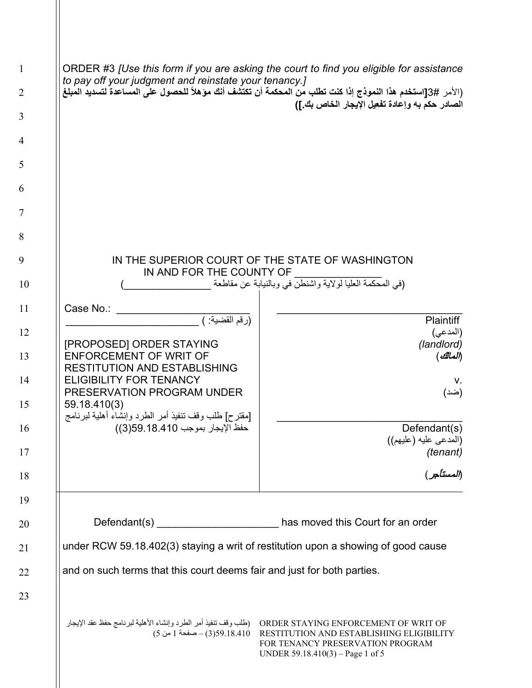| $\mathbf{1}$   |                                                                                         | ORDER #3 [Use this form if you are asking the court to find you eligible for assistance                          |  |  |
|----------------|-----------------------------------------------------------------------------------------|------------------------------------------------------------------------------------------------------------------|--|--|
| $\overline{2}$ | to pay off your judgment and reinstate your tenancy.]                                   | (الأمر #3[استخدم هذا النموذج إذا كنت تطلب من المحكمة أن تكتشف أنك مؤهلاً للحصول على المساعدة لتسديد المبلغ       |  |  |
| 3              |                                                                                         | الصادر حكم به وإعادة تفعيل الإيجار الخاص بك.])                                                                   |  |  |
| $\overline{4}$ |                                                                                         |                                                                                                                  |  |  |
| 5              |                                                                                         |                                                                                                                  |  |  |
| 6              |                                                                                         |                                                                                                                  |  |  |
| 7              |                                                                                         |                                                                                                                  |  |  |
| 8              |                                                                                         |                                                                                                                  |  |  |
| 9              |                                                                                         | IN THE SUPERIOR COURT OF THE STATE OF WASHINGTON                                                                 |  |  |
| 10             | IN AND FOR THE COUNTY OF<br>(في المحكمة العليا لولاية واشنطن في وبالنيابة عن مقاطعة     |                                                                                                                  |  |  |
| 11             | Case No.:                                                                               |                                                                                                                  |  |  |
| 12             | (رقم القضية: )                                                                          | <b>Plaintiff</b><br>(المدعى)                                                                                     |  |  |
| 13             | [PROPOSED] ORDER STAYING<br><b>ENFORCEMENT OF WRIT OF</b>                               | (landlord)<br>(المالك)                                                                                           |  |  |
| 14             | <b>RESTITUTION AND ESTABLISHING</b><br><b>ELIGIBILITY FOR TENANCY</b>                   | V.                                                                                                               |  |  |
| 15             | PRESERVATION PROGRAM UNDER<br>59.18.410(3)                                              | (ضد)                                                                                                             |  |  |
| 16             | [مقترح] طلب وقف تنفيذ أمر الطرد وإنشاء أهلية لبرنامج<br>حفظ الإيجار بموجب 359.18.41(3)) | Defendant(s)                                                                                                     |  |  |
| 17             |                                                                                         | (المدعى عليه (عليهم))                                                                                            |  |  |
| 18             |                                                                                         | (tenant)<br>(المستأجر)                                                                                           |  |  |
| 19             |                                                                                         |                                                                                                                  |  |  |
| 20             |                                                                                         | has moved this Court for an order                                                                                |  |  |
| 21             | under RCW 59.18.402(3) staying a writ of restitution upon a showing of good cause       |                                                                                                                  |  |  |
| 22             | and on such terms that this court deems fair and just for both parties.                 |                                                                                                                  |  |  |
| 23             |                                                                                         |                                                                                                                  |  |  |
|                | (18.410–صفحة 1 من 5)                                                                    | RESTITUTION AND ESTABLISHING ELIGIBILITY<br>FOR TENANCY PRESERVATION PROGRAM<br>UNDER 59.18.410(3) – Page 1 of 5 |  |  |

3

4

6

7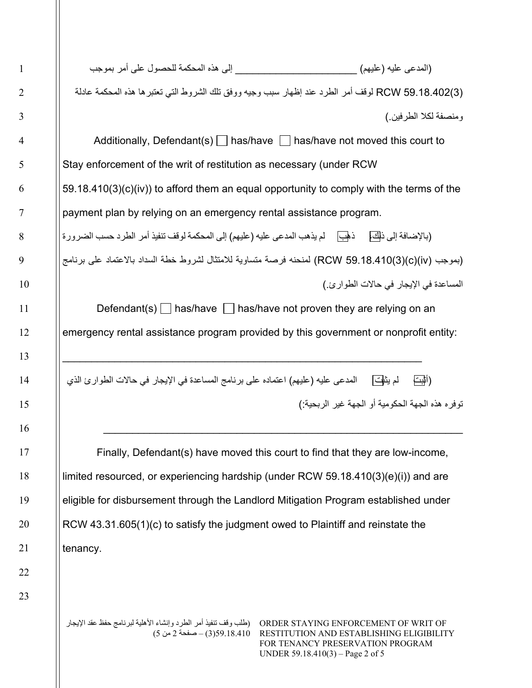(المدعى علیھ (علیھم) \_\_\_\_\_\_\_\_\_\_\_\_\_\_\_\_\_\_\_\_\_ إلى ھذه المحكمة للحصول على أمر بموجب (3)59.18.402 RCW لوقف أمر الطرد عند إظھار سبب وجیھ ووفق تلك الشروط التي تعتبرھا ھذه المحكمة عادلة ومنصفة لكلا الطرفین.)

Additionally, Defendant(s)  $\Box$  has/have  $\Box$  has/have not moved this court to Stay enforcement of the writ of restitution as necessary (under RCW 59.18.410(3)(c)(iv)) to afford them an equal opportunity to comply with the terms of the payment plan by relying on an emergency rental assistance program. (بالإضافة إلى ذلك، ذهب لم یذهب المدعى علیه (علیهم) إلى المحكمة لوقف تنفیذ أمر الطرد حسب الضرورة

(بموجب (iv)(c)(3(59.18.410 RCW (لمنحنھ فرصة متساویة للامتثال لشروط خطة السداد بالاعتماد على برنامج المساعدة في الإیجار في حالات الطوارئ.)

Defendant(s)  $\Box$  has/have  $\Box$  has/have not proven they are relying on an emergency rental assistance program provided by this government or nonprofit entity:

(أثبت لم یثبت المدعى علیھ (علیھم) اعتماده على برنامج المساعدة في الإیجار في حالات الطوارئ الذي توفره ھذه الجھة الحكومیة أو الجھة غیر الربحیة:)

\_\_\_\_\_\_\_\_\_\_\_\_\_\_\_\_\_\_\_\_\_\_\_\_\_\_\_\_\_\_\_\_\_\_\_\_\_\_\_\_\_\_\_\_\_\_\_\_\_\_\_\_\_\_\_\_\_\_\_\_\_\_

\_\_\_\_\_\_\_\_\_\_\_\_\_\_\_\_\_\_\_\_\_\_\_\_\_\_\_\_\_\_\_\_\_\_\_\_\_\_\_\_\_\_\_\_\_\_\_\_\_\_\_\_\_\_\_\_\_\_\_\_\_\_

Finally, Defendant(s) have moved this court to find that they are low-income, limited resourced, or experiencing hardship (under RCW 59.18.410(3)(e)(i)) and are eligible for disbursement through the Landlord Mitigation Program established under RCW 43.31.605(1)(c) to satisfy the judgment owed to Plaintiff and reinstate the tenancy.

ORDER STAYING ENFORCEMENT OF WRIT OF (طلب وقف تنفیذ أمر الطرد وإنشاء الأھلیة لبرنامج حفظ عقد الإیجار RESTITUTION AND ESTABLISHING ELIGIBILITY 59.18.410(3) – صفحة 2 من 5) FOR TENANCY PRESERVATION PROGRAM UNDER 59.18.410(3) – Page 2 of 5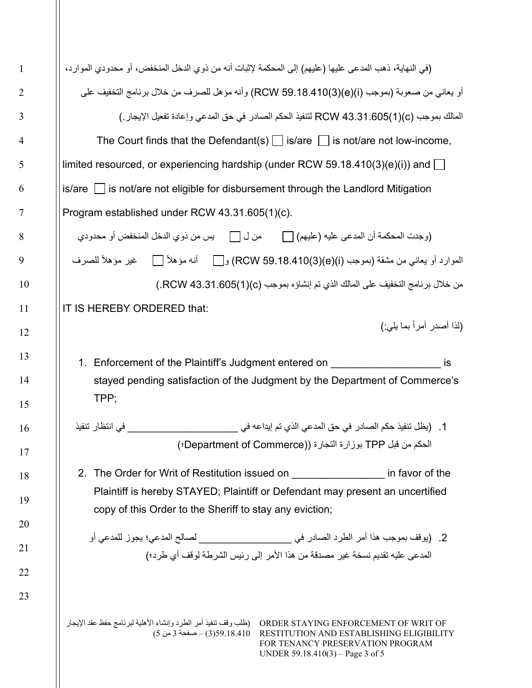| (في النهاية، ذهب المدعى عليها (عليهم) إلى المحكمة لإثبات أنه من ذوي الدخل المنخفض، أو محدودي الموارد،<br>$is/are$ is not/are not eligible for disbursement through the Landlord Mitigation<br>Program established under RCW 43.31.605(1)(c).<br>IT IS HEREBY ORDERED that:<br>1. Enforcement of the Plaintiff's Judgment entered on |  | أو يعاني من صعوبة (بموجب (RCW 59.18.410(3)(e)(i) وأنه مؤهل للصرف من خلال برنامج التخفيف على<br>المالك بموجب (RCW 43.31.605(1)(c لتنفيذ الحكم الصادر في حق المدعي وإعادة تفعيل الإيجار )<br>The Court finds that the Defendant(s) $\bigsqcup$ is/are $\bigsqcup$ is not/are not low-income,<br>limited resourced, or experiencing hardship (under RCW 59.18.410(3)(e)(i)) and $\Box$<br>الموارد أو يعاني من مشقة (بموجب (RCW 59.18.410(3)(e)(i) ، أنه مؤهلاً [   ضير مؤهلاً للصرف<br>من خلال برنامج التخفيف على المالك الذي تم إنشاؤه بموجب (RCW 43.31.605(1).) |                                                                                                                                                                                                                                                                                                                                                                                                                                                                                                                 |
|-------------------------------------------------------------------------------------------------------------------------------------------------------------------------------------------------------------------------------------------------------------------------------------------------------------------------------------|--|----------------------------------------------------------------------------------------------------------------------------------------------------------------------------------------------------------------------------------------------------------------------------------------------------------------------------------------------------------------------------------------------------------------------------------------------------------------------------------------------------------------------------------------------------------------|-----------------------------------------------------------------------------------------------------------------------------------------------------------------------------------------------------------------------------------------------------------------------------------------------------------------------------------------------------------------------------------------------------------------------------------------------------------------------------------------------------------------|
|                                                                                                                                                                                                                                                                                                                                     |  |                                                                                                                                                                                                                                                                                                                                                                                                                                                                                                                                                                |                                                                                                                                                                                                                                                                                                                                                                                                                                                                                                                 |
|                                                                                                                                                                                                                                                                                                                                     |  |                                                                                                                                                                                                                                                                                                                                                                                                                                                                                                                                                                |                                                                                                                                                                                                                                                                                                                                                                                                                                                                                                                 |
|                                                                                                                                                                                                                                                                                                                                     |  |                                                                                                                                                                                                                                                                                                                                                                                                                                                                                                                                                                |                                                                                                                                                                                                                                                                                                                                                                                                                                                                                                                 |
|                                                                                                                                                                                                                                                                                                                                     |  |                                                                                                                                                                                                                                                                                                                                                                                                                                                                                                                                                                |                                                                                                                                                                                                                                                                                                                                                                                                                                                                                                                 |
|                                                                                                                                                                                                                                                                                                                                     |  |                                                                                                                                                                                                                                                                                                                                                                                                                                                                                                                                                                |                                                                                                                                                                                                                                                                                                                                                                                                                                                                                                                 |
|                                                                                                                                                                                                                                                                                                                                     |  |                                                                                                                                                                                                                                                                                                                                                                                                                                                                                                                                                                |                                                                                                                                                                                                                                                                                                                                                                                                                                                                                                                 |
|                                                                                                                                                                                                                                                                                                                                     |  |                                                                                                                                                                                                                                                                                                                                                                                                                                                                                                                                                                |                                                                                                                                                                                                                                                                                                                                                                                                                                                                                                                 |
|                                                                                                                                                                                                                                                                                                                                     |  |                                                                                                                                                                                                                                                                                                                                                                                                                                                                                                                                                                |                                                                                                                                                                                                                                                                                                                                                                                                                                                                                                                 |
|                                                                                                                                                                                                                                                                                                                                     |  |                                                                                                                                                                                                                                                                                                                                                                                                                                                                                                                                                                |                                                                                                                                                                                                                                                                                                                                                                                                                                                                                                                 |
|                                                                                                                                                                                                                                                                                                                                     |  |                                                                                                                                                                                                                                                                                                                                                                                                                                                                                                                                                                |                                                                                                                                                                                                                                                                                                                                                                                                                                                                                                                 |
|                                                                                                                                                                                                                                                                                                                                     |  |                                                                                                                                                                                                                                                                                                                                                                                                                                                                                                                                                                |                                                                                                                                                                                                                                                                                                                                                                                                                                                                                                                 |
|                                                                                                                                                                                                                                                                                                                                     |  | (لذا أصدر أمراً بما يلي:)                                                                                                                                                                                                                                                                                                                                                                                                                                                                                                                                      |                                                                                                                                                                                                                                                                                                                                                                                                                                                                                                                 |
|                                                                                                                                                                                                                                                                                                                                     |  | stayed pending satisfaction of the Judgment by the Department of Commerce's                                                                                                                                                                                                                                                                                                                                                                                                                                                                                    |                                                                                                                                                                                                                                                                                                                                                                                                                                                                                                                 |
|                                                                                                                                                                                                                                                                                                                                     |  |                                                                                                                                                                                                                                                                                                                                                                                                                                                                                                                                                                |                                                                                                                                                                                                                                                                                                                                                                                                                                                                                                                 |
|                                                                                                                                                                                                                                                                                                                                     |  |                                                                                                                                                                                                                                                                                                                                                                                                                                                                                                                                                                |                                                                                                                                                                                                                                                                                                                                                                                                                                                                                                                 |
|                                                                                                                                                                                                                                                                                                                                     |  |                                                                                                                                                                                                                                                                                                                                                                                                                                                                                                                                                                |                                                                                                                                                                                                                                                                                                                                                                                                                                                                                                                 |
|                                                                                                                                                                                                                                                                                                                                     |  |                                                                                                                                                                                                                                                                                                                                                                                                                                                                                                                                                                |                                                                                                                                                                                                                                                                                                                                                                                                                                                                                                                 |
|                                                                                                                                                                                                                                                                                                                                     |  | copy of this Order to the Sheriff to stay any eviction;                                                                                                                                                                                                                                                                                                                                                                                                                                                                                                        | 1    (يظل نتفيذ حكم الصـادر  في حق المدعي الذي تم إيداعه في _____________________<br>الحكم من قبل TPP بوزارة التجارة ((Department of Commerce؛)<br>2. The Order for Writ of Restitution issued on ___________________ in favor of the<br>Plaintiff is hereby STAYED; Plaintiff or Defendant may present an uncertified<br>2.   (يوقف بموجب هذا أمر الطرد الصادر في ________________________________ لصالح المدعي؛ يجوز للمدعي أو<br>المدعى عليه تقديم نسخة غير مصدقة من هذا الأمر إلى رئيس الشرطة لوقف أي طرد؛) |

2

3

4

5

6

7

8

9

10

11

12

13

14

15

16

17

18

19

20

21

22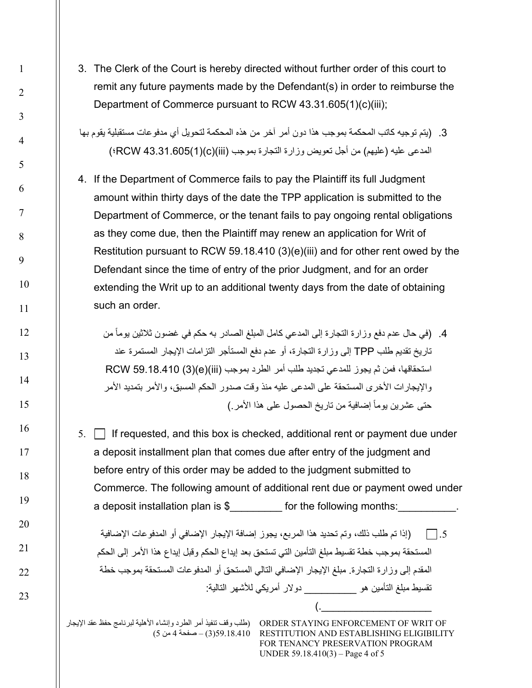3. The Clerk of the Court is hereby directed without further order of this court to remit any future payments made by the Defendant(s) in order to reimburse the Department of Commerce pursuant to RCW 43.31.605(1)(c)(iii);

.3 (یتم توجیھ كاتب المحكمة بموجب ھذا دون أمر آخر من ھذه المحكمة لتحویل أي مدفوعات مستقبلیة یقوم بھا المدعى علیھ (علیھم) من أجل تعویض وزارة التجارة بموجب (iii)(c)(1(43.31.605 RCW؛)

4. If the Department of Commerce fails to pay the Plaintiff its full Judgment amount within thirty days of the date the TPP application is submitted to the Department of Commerce, or the tenant fails to pay ongoing rental obligations as they come due, then the Plaintiff may renew an application for Writ of Restitution pursuant to RCW 59.18.410 (3)(e)(iii) and for other rent owed by the Defendant since the time of entry of the prior Judgment, and for an order extending the Writ up to an additional twenty days from the date of obtaining such an order.

4. (في حال عدم دفع وزارة التجارة إلى المدعي كامل المبلغ الصـادر بـه حكم في غضون ثلاثين يوماً من تاریخ تقدیم طلب TPP إلى وزارة التجارة، أو عدم دفع المستأجر التزامات الإیجار المستمرة عند استحقاقھا، فمن ثم یجوز للمدعي تجدید طلب أمر الطرد بموجب (iii)(e)(3 (59.18.410 RCW والإیجارات الأخرى المستحقة على المدعى علیھ منذ وقت صدور الحكم المسبق، والأمر بتمدید الأمر حتى عشرين يوماً إضافية من تاريخ الحصول على هذا الأمر )

 $5.$   $\Box$  If requested, and this box is checked, additional rent or payment due under a deposit installment plan that comes due after entry of the judgment and before entry of this order may be added to the judgment submitted to Commerce. The following amount of additional rent due or payment owed under a deposit installation plan is \$ for the following months:

.5 (إذا تم طلب ذلك، وتم تحدید ھذا المربع، یجوز إضافة الإیجار الإضافي أو المدفوعات الإضافیة المستحقة بموجب خطة تقسیط مبلغ التأمین التي تستحق بعد إیداع الحكم وقبل إیداع ھذا الأمر إلى الحكم المقدم إلى وزارة التجارة. مبلغ الإیجار الإضافي التالي المستحق أو المدفوعات المستحقة بموجب خطة تقسیط مبلغ التأمین ھو \_\_\_\_\_\_\_\_\_ دولار أمریكي للأشھر التالیة:

ORDER STAYING ENFORCEMENT OF WRIT OF (طلب وقف تنفیذ أمر الطرد وإنشاء الأھلیة لبرنامج حفظ عقد الإیجار RESTITUTION AND ESTABLISHING ELIGIBILITY 59.18.410(3) – صفحة 4 من 5) FOR TENANCY PRESERVATION PROGRAM UNDER 59.18.410(3) – Page 4 of 5

 $\left(\frac{\cdot}{\cdot}\right)$